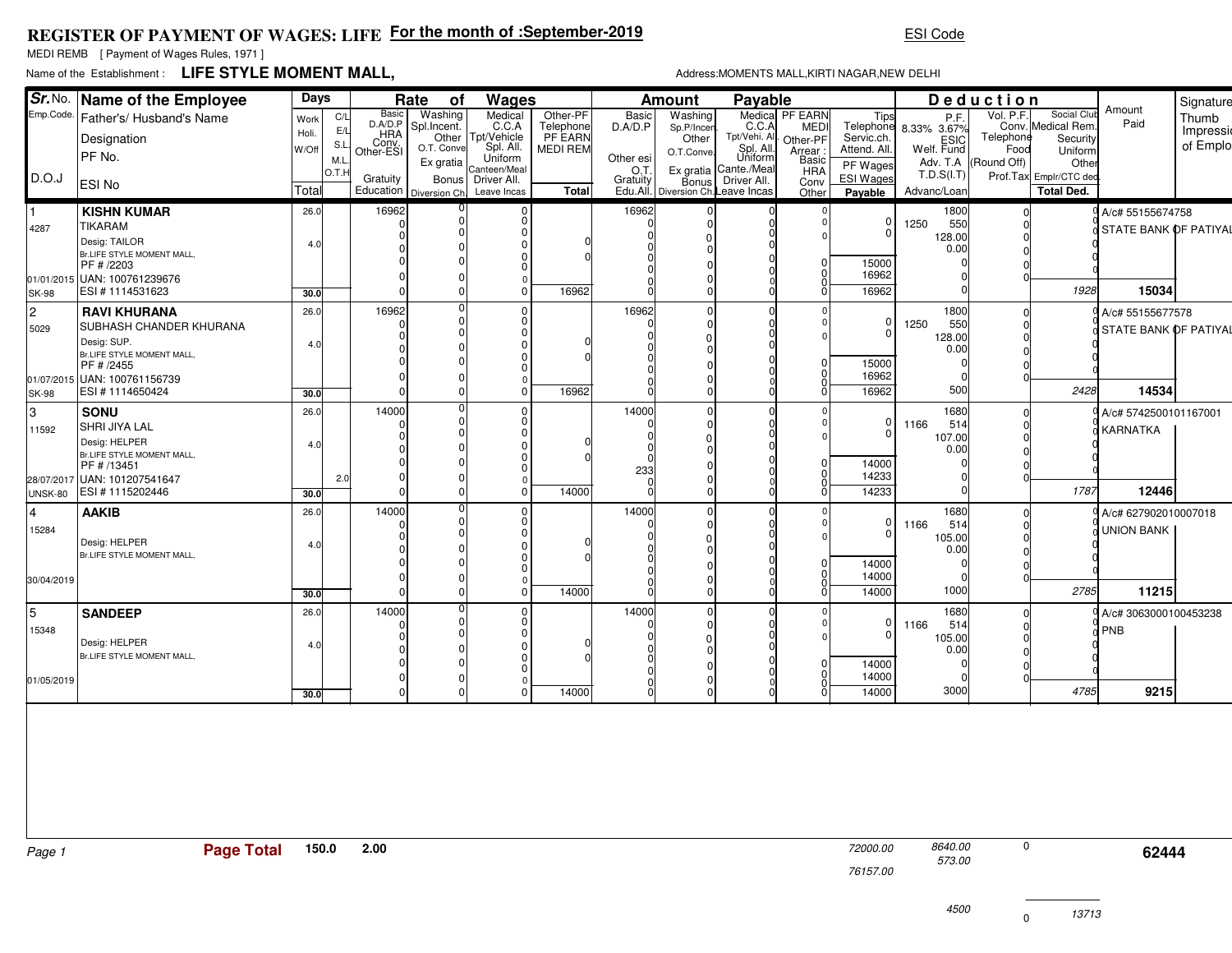## **REGISTER OF PAYMENT OF WAGES: LIFEFor the month of :September-2019**

MEDI REMB [ Payment of Wages Rules, 1971 ]

## Name of the Establishment :**LIFE STYLE MOMENT MALL,**

 573.00 8640.00

13713

|              | Sr. No. Name of the Employee                    | Days  |            | Rate<br>Wages<br>of |                                       |                      | Payable<br><b>Amount</b> |              |                                             |                      |                        | Deduction            |                               |                      |                                   | Signature             |           |
|--------------|-------------------------------------------------|-------|------------|---------------------|---------------------------------------|----------------------|--------------------------|--------------|---------------------------------------------|----------------------|------------------------|----------------------|-------------------------------|----------------------|-----------------------------------|-----------------------|-----------|
|              | Emp.Code.   Father's/ Husband's Name            | Work  | C/L        | Basic<br>D.A/D.P    | Washing<br>Spl.Incent.                | Medical<br>C.C.A     | Other-PF                 | <b>Basic</b> | Washing                                     | C.C.A                | Medica PF EARN<br>MEDI |                      | Tips<br>Telephone 8.33% 3.67% | Vol. P.F.            | Social Club<br>Conv. Medical Rem. | Amount<br>Paid        | Thumb     |
|              | Designation                                     | Holi. | E/L        | _HRA                | Other                                 | Tpt/Vehicle          | Telephone<br>PF EARN     | D.A/D.P      | Sp.P/Incen<br>Other                         | Tpt/Vehi. All        | Other-PF               | Servic.ch.           |                               | Telephone            | Security                          |                       | Impressio |
|              | PF No.                                          | W/Off | S.L<br>M.L | Conv.<br>Other-ESI  | O.T. Convel                           | Spl. All.<br>Uniform | MEDI REM                 | Other esi    | O.T.Conve.                                  | Spl. All.<br>Uniform | Arrear:<br>Basic       | Attend. All.         | ESIC<br> Welf. Fund           | Food                 | Uniform                           |                       | of Emplo  |
| D.O.J        |                                                 |       | O.T.       |                     | Ex gratia                             | Canteen/Meal         |                          | O.T.         | Ex gratia Cante./Meal                       |                      | <b>HRA</b>             | PF Wages             | T.D.S( I.T)                   | Adv. T.A (Round Off) | Other<br>Prof.Tax Emplr/CTC ded   |                       |           |
|              | <b>ESINo</b>                                    | Total |            | Gratuity            | Education   Diversion Ch. Leave Incas | Bonus   Driver All.  | <b>Total</b>             | Gratuity     | Bonus<br>Edu.All. Diversion Ch. Leave Incas | Driver All.          | Conv<br>Other          | ESI Wages<br>Payable | Advanc/Loan                   |                      | <b>Total Ded.</b>                 |                       |           |
|              | <b>KISHN KUMAR</b>                              | 26.0  |            | 16962               |                                       |                      |                          | 16962        |                                             |                      |                        |                      | 1800                          |                      |                                   | A/c# 55155674758      |           |
| 4287         | <b>TIKARAM</b>                                  |       |            |                     |                                       |                      |                          |              |                                             |                      |                        | 0<br>U               | 550<br>1250                   |                      |                                   | STATE BANK OF PATIYAL |           |
|              | Desig: TAILOR                                   | 4.0   |            |                     |                                       |                      |                          |              |                                             |                      |                        |                      | 128.00<br>0.00                |                      |                                   |                       |           |
|              | Br.LIFE STYLE MOMENT MALL,<br>PF # /2203        |       |            |                     |                                       |                      |                          |              |                                             |                      |                        | 15000                |                               |                      |                                   |                       |           |
|              | 01/01/2015 UAN: 100761239676                    |       |            |                     |                                       |                      |                          |              |                                             |                      |                        | 16962                |                               |                      |                                   |                       |           |
| <b>SK-98</b> | ESI#1114531623                                  | 30.0  |            |                     |                                       |                      | 16962                    |              |                                             |                      |                        | 16962                |                               |                      | 1928                              | 15034                 |           |
| l2.          | <b>RAVI KHURANA</b>                             | 26.0  |            | 16962               |                                       |                      |                          | 16962        |                                             |                      |                        |                      | 1800                          |                      |                                   | A/c# 55155677578      |           |
| 5029         | <b>SUBHASH CHANDER KHURANA</b>                  |       |            |                     |                                       |                      |                          |              |                                             |                      |                        | 0<br>n               | 1250<br>550<br>128.00         |                      |                                   | STATE BANK OF PATIYAL |           |
|              | Desig: SUP.<br>Br.LIFE STYLE MOMENT MALL,       | 4.0   |            |                     |                                       |                      |                          |              |                                             |                      |                        |                      | 0.00                          |                      |                                   |                       |           |
|              | PF # /2455                                      |       |            |                     |                                       |                      |                          |              |                                             |                      |                        | 15000                |                               |                      |                                   |                       |           |
|              | 01/07/2015 UAN: 100761156739                    |       |            |                     |                                       |                      |                          |              |                                             |                      |                        | 16962                |                               |                      |                                   |                       |           |
| ISK-98       | ESI #1114650424                                 | 30.0  |            |                     |                                       |                      | 16962                    |              |                                             |                      |                        | 16962                | 500                           |                      | 2428                              | 14534                 |           |
| l3           | SONU                                            | 26.0  |            | 14000               |                                       |                      |                          | 14000        |                                             |                      |                        | 0                    | 1680<br>514                   |                      |                                   | A/c# 5742500101167001 |           |
| 11592        | SHRI JIYA LAL                                   |       |            |                     |                                       |                      |                          |              |                                             |                      |                        |                      | 1166<br>107.00                |                      |                                   | <b>KARNATKA</b>       |           |
|              | Desig: HELPER<br>Br.LIFE STYLE MOMENT MALL,     | 4.0   |            |                     |                                       |                      |                          |              |                                             |                      |                        |                      | 0.00                          |                      |                                   |                       |           |
|              | PF # /13451                                     |       |            |                     |                                       |                      |                          | 233          |                                             |                      |                        | 14000                |                               |                      |                                   |                       |           |
|              | 28/07/2017 UAN: 101207541647<br>ESI #1115202446 |       | 2.0        |                     |                                       | $\Omega$             | 14000                    |              |                                             |                      |                        | 14233<br>14233       |                               |                      | 1787                              | 12446                 |           |
| UNSK-80      |                                                 | 30.0  |            |                     |                                       |                      |                          |              |                                             |                      |                        |                      |                               |                      |                                   |                       |           |
| 14           | <b>AAKIB</b>                                    | 26.0  |            | 14000               |                                       |                      |                          | 14000        |                                             |                      |                        | 0                    | 1680<br>1166<br>514           |                      |                                   | A/c# 627902010007018  |           |
| 15284        | Desig: HELPER                                   |       |            |                     |                                       |                      |                          |              |                                             |                      |                        |                      | 105.00                        |                      |                                   | <b>UNION BANK</b>     |           |
|              | Br.LIFE STYLE MOMENT MALL,                      | 4.0   |            |                     |                                       |                      |                          |              |                                             |                      |                        |                      | 0.00                          |                      |                                   |                       |           |
|              |                                                 |       |            |                     |                                       |                      |                          |              |                                             |                      |                        | 14000<br>14000       |                               |                      |                                   |                       |           |
| 30/04/2019   |                                                 | 30.0  |            |                     |                                       | $\Omega$             | 14000                    |              |                                             |                      |                        | 14000                | 1000                          |                      | 2785                              | 11215                 |           |
| 5            | <b>SANDEEP</b>                                  | 26.0  |            | 14000               |                                       |                      |                          | 14000        |                                             |                      |                        |                      | 1680                          |                      |                                   | A/c# 3063000100453238 |           |
| 15348        |                                                 |       |            |                     |                                       |                      |                          |              |                                             |                      |                        | 0 l                  | 1166<br>514                   |                      |                                   | PNB                   |           |
|              | Desig: HELPER                                   | 4.0   |            |                     |                                       |                      |                          |              |                                             |                      |                        | n.                   | 105.00                        |                      |                                   |                       |           |
|              | Br.LIFE STYLE MOMENT MALL.                      |       |            |                     |                                       |                      |                          |              |                                             |                      |                        | 14000                | 0.00                          |                      |                                   |                       |           |
| 01/05/2019   |                                                 |       |            |                     |                                       |                      |                          |              |                                             |                      |                        | 14000                |                               |                      |                                   |                       |           |
|              |                                                 | 30.0  |            |                     |                                       | $\Omega$             | 14000                    |              |                                             |                      |                        | 14000                | 3000                          |                      | 4785                              | 9215                  |           |

76157.00

0

ESI Code

Address:MOMENTS MALL,KIRTI NAGAR,NEW DELHI

<sup>72000.00 8640.00 0</sup>  **62444**